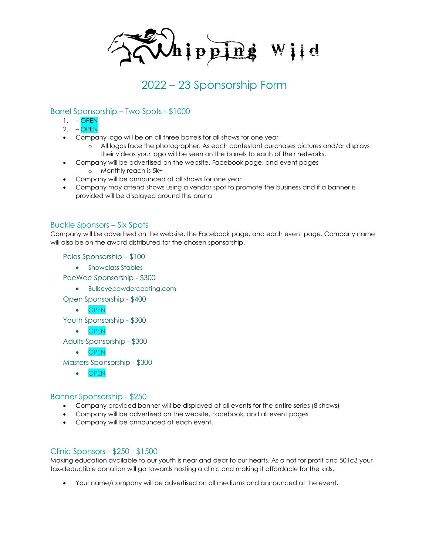$\mathcal{M}$ ipping Wild

# 2022 – 23 Sponsorship Form

### Barrel Sponsorship – Two Spots - \$1000

- $1. -$  OPEN
- 2. OPEN
- Company logo will be on all three barrels for all shows for one year
	- o All logos face the photographer. As each contestant purchases pictures and/or displays their videos your logo will be seen on the barrels to each of their networks.
- Company will be advertised on the website, Facebook page, and event pages o Monthly reach is 5k+
- Company will be announced at all shows for one year
- Company may attend shows using a vendor spot to promote the business and if a banner is provided will be displayed around the arena

#### Buckle Sponsors – Six Spots

Company will be advertised on the website, the Facebook page, and each event page. Company name will also be on the award distributed for the chosen sponsorship.

Poles Sponsorship – \$100

• Showclass Stables

PeeWee Sponsorship - \$300

- Bullseyepowdercoating.com
- Open Sponsorship \$400
	- OPEN

Youth Sponsorship - \$300

• OPEN

Adults Sponsorship - \$300

• OPEN

Masters Sponsorship - \$300

• OPEN

#### Banner Sponsorship - \$250

- Company provided banner will be displayed at all events for the entire series (8 shows)
- Company will be advertised on the website, Facebook, and all event pages
- Company will be announced at each event.

#### Clinic Sponsors - \$250 - \$1500

Making education available to our youth is near and dear to our hearts. As a not for profit and 501c3 your tax-deductible donation will go towards hosting a clinic and making it affordable for the kids.

• Your name/company will be advertised on all mediums and announced at the event.